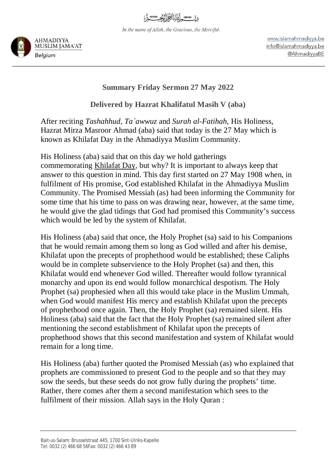In the name of Allah, the Gracious, the Merciful.



www.islamahmadiyya.be info@islamahmadiyya.be @AhmadiyyaBE

## **Summary Friday Sermon 27 May 2022**

**Delivered by Hazrat Khalifatul Masih V (aba)**

After reciting *Tashahhud*, *Ta`awwuz* and *Surah al-Fatihah*, His Holiness, Hazrat Mirza Masroor Ahmad (aba) said that today is the 27 May which is known as Khilafat Day in the Ahmadiyya Muslim Community.

His Holiness (aba) said that on this day we hold gatherings commemorating Khilafat Day, but why? It is important to always keep that answer to this question in mind. This day first started on 27 May 1908 when, in fulfilment of His promise, God established Khilafat in the Ahmadiyya Muslim Community. The Promised Messiah (as) had been informing the Community for some time that his time to pass on was drawing near, however, at the same time, he would give the glad tidings that God had promised this Community's success which would be led by the system of Khilafat.

His Holiness (aba) said that once, the Holy Prophet (sa) said to his Companions that he would remain among them so long as God willed and after his demise, Khilafat upon the precepts of prophethood would be established; these Caliphs would be in complete subservience to the Holy Prophet (sa) and then, this Khilafat would end whenever God willed. Thereafter would follow tyrannical monarchy and upon its end would follow monarchical despotism. The Holy Prophet (sa) prophesied when all this would take place in the Muslim Ummah, when God would manifest His mercy and establish Khilafat upon the precepts of prophethood once again. Then, the Holy Prophet (sa) remained silent. His Holiness (aba) said that the fact that the Holy Prophet (sa) remained silent after mentioning the second establishment of Khilafat upon the precepts of prophethood shows that this second manifestation and system of Khilafat would remain for a long time.

His Holiness (aba) further quoted the Promised Messiah (as) who explained that prophets are commissioned to present God to the people and so that they may sow the seeds, but these seeds do not grow fully during the prophets' time. Rather, there comes after them a second manifestation which sees to the fulfilment of their mission. Allah says in the Holy Quran :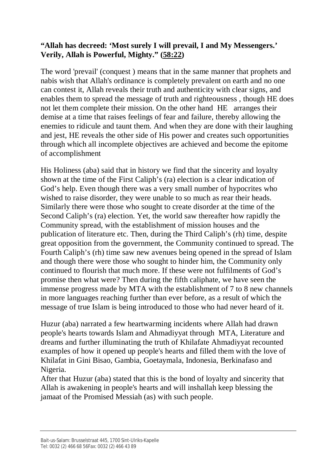## **"Allah has decreed: 'Most surely I will prevail, I and My Messengers.' Verily, Allah is Powerful, Mighty." (58:22)**

The word 'prevail' (conquest ) means that in the same manner that prophets and nabis wish that Allah's ordinance is completely prevalent on earth and no one can contest it, Allah reveals their truth and authenticity with clear signs, and enables them to spread the message of truth and righteousness , though HE does not let them complete their mission. On the other hand HE arranges their demise at a time that raises feelings of fear and failure, thereby allowing the enemies to ridicule and taunt them. And when they are done with their laughing and jest, HE reveals the other side of His power and creates such opportunities through which all incomplete objectives are achieved and become the epitome of accomplishment

His Holiness (aba) said that in history we find that the sincerity and loyalty shown at the time of the First Caliph's (ra) election is a clear indication of God's help. Even though there was a very small number of hypocrites who wished to raise disorder, they were unable to so much as rear their heads. Similarly there were those who sought to create disorder at the time of the Second Caliph's (ra) election. Yet, the world saw thereafter how rapidly the Community spread, with the establishment of mission houses and the publication of literature etc. Then, during the Third Caliph's (rh) time, despite great opposition from the government, the Community continued to spread. The Fourth Caliph's (rh) time saw new avenues being opened in the spread of Islam and though there were those who sought to hinder him, the Community only continued to flourish that much more. If these were not fulfilments of God's promise then what were? Then during the fifth caliphate, we have seen the immense progress made by MTA with the establishment of 7 to 8 new channels in more languages reaching further than ever before, as a result of which the message of true Islam is being introduced to those who had never heard of it.

Huzur (aba) narrated a few heartwarming incidents where Allah had drawn people's hearts towards Islam and Ahmadiyyat through MTA, Literature and dreams and further illuminating the truth of Khilafate Ahmadiyyat recounted examples of how it opened up people's hearts and filled them with the love of Khilafat in Gini Bisao, Gambia, Goetaymala, Indonesia, Berkinafaso and Nigeria.

After that Huzur (aba) stated that this is the bond of loyalty and sincerity that Allah is awakening in people's hearts and will inshallah keep blessing the jamaat of the Promised Messiah (as) with such people.